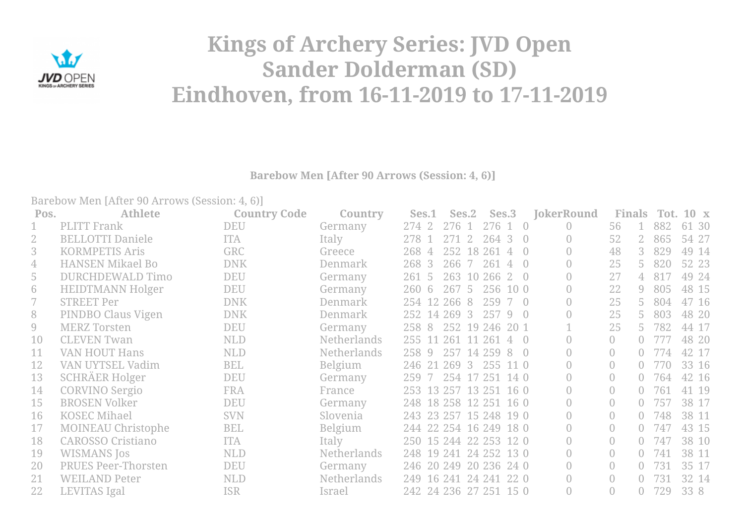

## **Kings of Archery Series: JVD Open Sander Dolderman (SD) Eindhoven, from 16-11-2019 to 17-11-2019**

**Barebow Men [After 90 Arrows (Session: 4, 6)]**

Barebow Men [After 90 Arrows (Session: 4, 6)]

| Pos. | <b>Athlete</b>             | <b>Country Code</b> | Country            | Ses.1                  | Ses.2          |                | Ses.3    |                 | <b>JokerRound</b> | <b>Finals</b>  |                | Tot. | $10 \times$ |
|------|----------------------------|---------------------|--------------------|------------------------|----------------|----------------|----------|-----------------|-------------------|----------------|----------------|------|-------------|
|      | <b>PLITT</b> Frank         | <b>DEU</b>          | Germany            | 274 2                  | 276 1          |                | 276 1 0  |                 | $\bigcap$         | 56             |                | 882  | 61<br>- 30  |
|      | <b>BELLOTTI Daniele</b>    | <b>ITA</b>          | Italy              | 278 1                  |                | 271 2 264 3 0  |          |                 | 0                 | 52             | $2^{\circ}$    | 865  | 54 27       |
| 3    | <b>KORMPETIS Aris</b>      | <b>GRC</b>          | Greece             | 268 4                  |                | 252 18 261     |          | 40              |                   | 48             | $3 -$          | 829  | 49 14       |
| 4    | <b>HANSEN Mikael Bo</b>    | <b>DNK</b>          | Denmark            | 268 3                  | 266            | 261<br>7       |          | $4 \Omega$      |                   | 25             | 5.             | 820  | 52 23       |
| 5    | DURCHDEWALD Timo           | <b>DEU</b>          | Germany            | 261 5                  |                | 263 10 266 2 0 |          |                 |                   | 27             | $\overline{4}$ | 817  | 49 24       |
| 6    | <b>HEIDTMANN Holger</b>    | <b>DEU</b>          | Germany            | 260 6                  | 267 5          |                | 256 10 0 |                 |                   | 22             | 9              | 805  | 48 15       |
|      | <b>STREET Per</b>          | <b>DNK</b>          | Denmark            | 254 12 266 8           |                |                | 259      | 7 0             |                   | 25             | 5.             | 804  | 47 16       |
| 8    | PINDBO Claus Vigen         | <b>DNK</b>          | Denmark            | 252 14 269 3           |                |                | 257 9 0  |                 |                   | 25             | 5.             | 803  | 48 20       |
| 9    | <b>MERZ Torsten</b>        | <b>DEU</b>          | Germany            | 258 8                  | 252 19 246     |                |          | 20 <sub>1</sub> |                   | 25             | 5.             | 782  | 44 17       |
| 10   | <b>CLEVEN Twan</b>         | <b>NLD</b>          | <b>Netherlands</b> | 255 11 261 11 261      |                |                |          | $4 \Omega$      |                   | $\bigcirc$     |                | 777  | 48 20       |
| 11   | <b>VAN HOUT Hans</b>       | <b>NLD</b>          | <b>Netherlands</b> | 258 9                  | 257 14 259 8 0 |                |          |                 |                   |                | $\bigcap$      | -774 | 42 17       |
| 12   | VAN UYTSEL Vadim           | <b>BEL</b>          | <b>Belgium</b>     | 246 21                 | 269            | 3              | 255 11 0 |                 |                   |                |                | 770  | 33 16       |
| 13   | <b>SCHRÄER Holger</b>      | <b>DEU</b>          | Germany            | 259 7                  | 254 17 251     |                |          | 140             |                   | $\overline{0}$ | $\cap$         | 764  | 42 16       |
| 14   | <b>CORVINO Sergio</b>      | <b>FRA</b>          | France             | 253 13 257 13 251 16 0 |                |                |          |                 |                   | $\Omega$       |                | 761  | 41 19       |
| 15   | <b>BROSEN Volker</b>       | <b>DEU</b>          | Germany            | 248 18 258 12 251 16 0 |                |                |          |                 |                   | $\bigcirc$     |                | 757  | 38 17       |
| 16   | <b>KOSEC Mihael</b>        | <b>SVN</b>          | Slovenia           | 243 23 257 15 248 19 0 |                |                |          |                 |                   |                |                | 748  | 38 11       |
| 17   | <b>MOINEAU Christophe</b>  | <b>BEL</b>          | <b>Belgium</b>     | 244 22 254 16 249 18 0 |                |                |          |                 |                   | $\overline{0}$ |                | 747  | 43 15       |
| 18   | <b>CAROSSO Cristiano</b>   | <b>ITA</b>          | Italy              | 250 15 244 22 253 12 0 |                |                |          |                 |                   | $\overline{0}$ | $\bigcap$      | 747  | 38 10       |
| 19   | <b>WISMANS</b> Jos         | <b>NLD</b>          | Netherlands        | 248 19 241 24 252 13 0 |                |                |          |                 |                   | $\Omega$       | $\bigcap$      | 741  | 38 11       |
| 20   | <b>PRUES Peer-Thorsten</b> | <b>DEU</b>          | Germany            | 246 20 249 20 236 24 0 |                |                |          |                 |                   |                |                | 731  | 35 17       |
| 21   | <b>WEILAND Peter</b>       | <b>NLD</b>          | <b>Netherlands</b> | 249 16 241 24 241      |                |                |          | 22 0            |                   | $\overline{0}$ | $\bigcap$      | 731  | 32 14       |
| 22   | <b>LEVITAS Igal</b>        | <b>ISR</b>          | Israel             | 242 24 236 27 251 15 0 |                |                |          |                 |                   |                | 0.             | 729  | 33 8        |